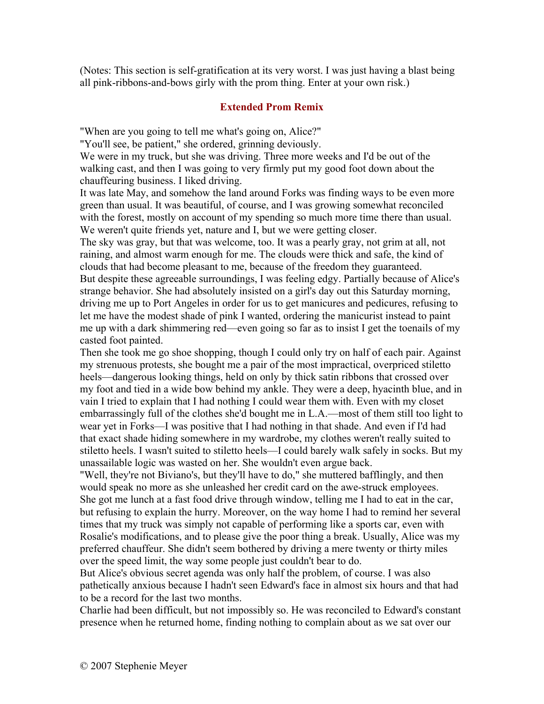(Notes: This section is self-gratification at its very worst. I was just having a blast being all pink-ribbons-and-bows girly with the prom thing. Enter at your own risk.)

## **Extended Prom Remix**

"When are you going to tell me what's going on, Alice?"

"You'll see, be patient," she ordered, grinning deviously.

We were in my truck, but she was driving. Three more weeks and I'd be out of the walking cast, and then I was going to very firmly put my good foot down about the chauffeuring business. I liked driving.

It was late May, and somehow the land around Forks was finding ways to be even more green than usual. It was beautiful, of course, and I was growing somewhat reconciled with the forest, mostly on account of my spending so much more time there than usual. We weren't quite friends yet, nature and I, but we were getting closer.

The sky was gray, but that was welcome, too. It was a pearly gray, not grim at all, not raining, and almost warm enough for me. The clouds were thick and safe, the kind of clouds that had become pleasant to me, because of the freedom they guaranteed. But despite these agreeable surroundings, I was feeling edgy. Partially because of Alice's strange behavior. She had absolutely insisted on a girl's day out this Saturday morning, driving me up to Port Angeles in order for us to get manicures and pedicures, refusing to let me have the modest shade of pink I wanted, ordering the manicurist instead to paint me up with a dark shimmering red—even going so far as to insist I get the toenails of my casted foot painted.

Then she took me go shoe shopping, though I could only try on half of each pair. Against my strenuous protests, she bought me a pair of the most impractical, overpriced stiletto heels—dangerous looking things, held on only by thick satin ribbons that crossed over my foot and tied in a wide bow behind my ankle. They were a deep, hyacinth blue, and in vain I tried to explain that I had nothing I could wear them with. Even with my closet embarrassingly full of the clothes she'd bought me in L.A.—most of them still too light to wear yet in Forks—I was positive that I had nothing in that shade. And even if I'd had that exact shade hiding somewhere in my wardrobe, my clothes weren't really suited to stiletto heels. I wasn't suited to stiletto heels—I could barely walk safely in socks. But my unassailable logic was wasted on her. She wouldn't even argue back.

"Well, they're not Biviano's, but they'll have to do," she muttered bafflingly, and then would speak no more as she unleashed her credit card on the awe-struck employees. She got me lunch at a fast food drive through window, telling me I had to eat in the car, but refusing to explain the hurry. Moreover, on the way home I had to remind her several times that my truck was simply not capable of performing like a sports car, even with Rosalie's modifications, and to please give the poor thing a break. Usually, Alice was my preferred chauffeur. She didn't seem bothered by driving a mere twenty or thirty miles over the speed limit, the way some people just couldn't bear to do.

But Alice's obvious secret agenda was only half the problem, of course. I was also pathetically anxious because I hadn't seen Edward's face in almost six hours and that had to be a record for the last two months.

Charlie had been difficult, but not impossibly so. He was reconciled to Edward's constant presence when he returned home, finding nothing to complain about as we sat over our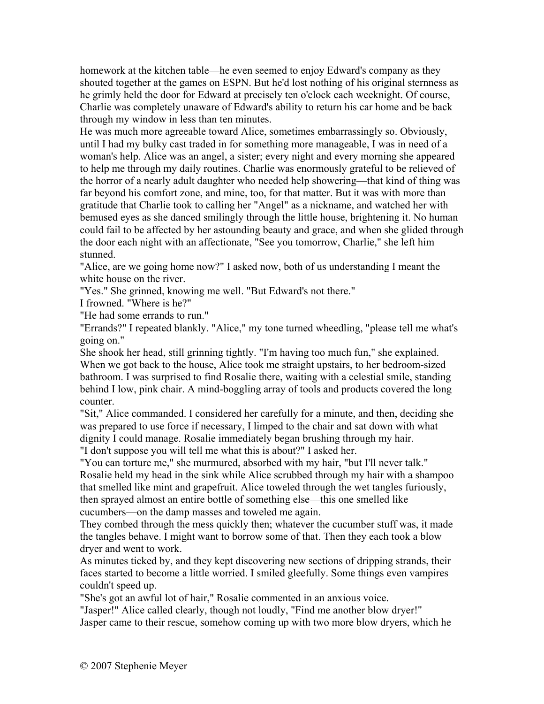homework at the kitchen table—he even seemed to enjoy Edward's company as they shouted together at the games on ESPN. But he'd lost nothing of his original sternness as he grimly held the door for Edward at precisely ten o'clock each weeknight. Of course, Charlie was completely unaware of Edward's ability to return his car home and be back through my window in less than ten minutes.

He was much more agreeable toward Alice, sometimes embarrassingly so. Obviously, until I had my bulky cast traded in for something more manageable, I was in need of a woman's help. Alice was an angel, a sister; every night and every morning she appeared to help me through my daily routines. Charlie was enormously grateful to be relieved of the horror of a nearly adult daughter who needed help showering—that kind of thing was far beyond his comfort zone, and mine, too, for that matter. But it was with more than gratitude that Charlie took to calling her "Angel" as a nickname, and watched her with bemused eyes as she danced smilingly through the little house, brightening it. No human could fail to be affected by her astounding beauty and grace, and when she glided through the door each night with an affectionate, "See you tomorrow, Charlie," she left him stunned.

"Alice, are we going home now?" I asked now, both of us understanding I meant the white house on the river.

"Yes." She grinned, knowing me well. "But Edward's not there."

I frowned. "Where is he?"

"He had some errands to run."

"Errands?" I repeated blankly. "Alice," my tone turned wheedling, "please tell me what's going on."

She shook her head, still grinning tightly. "I'm having too much fun," she explained. When we got back to the house, Alice took me straight upstairs, to her bedroom-sized bathroom. I was surprised to find Rosalie there, waiting with a celestial smile, standing behind I low, pink chair. A mind-boggling array of tools and products covered the long counter.

"Sit," Alice commanded. I considered her carefully for a minute, and then, deciding she was prepared to use force if necessary, I limped to the chair and sat down with what dignity I could manage. Rosalie immediately began brushing through my hair. "I don't suppose you will tell me what this is about?" I asked her.

"You can torture me," she murmured, absorbed with my hair, "but I'll never talk." Rosalie held my head in the sink while Alice scrubbed through my hair with a shampoo that smelled like mint and grapefruit. Alice toweled through the wet tangles furiously, then sprayed almost an entire bottle of something else—this one smelled like cucumbers—on the damp masses and toweled me again.

They combed through the mess quickly then; whatever the cucumber stuff was, it made the tangles behave. I might want to borrow some of that. Then they each took a blow dryer and went to work.

As minutes ticked by, and they kept discovering new sections of dripping strands, their faces started to become a little worried. I smiled gleefully. Some things even vampires couldn't speed up.

"She's got an awful lot of hair," Rosalie commented in an anxious voice.

"Jasper!" Alice called clearly, though not loudly, "Find me another blow dryer!"

Jasper came to their rescue, somehow coming up with two more blow dryers, which he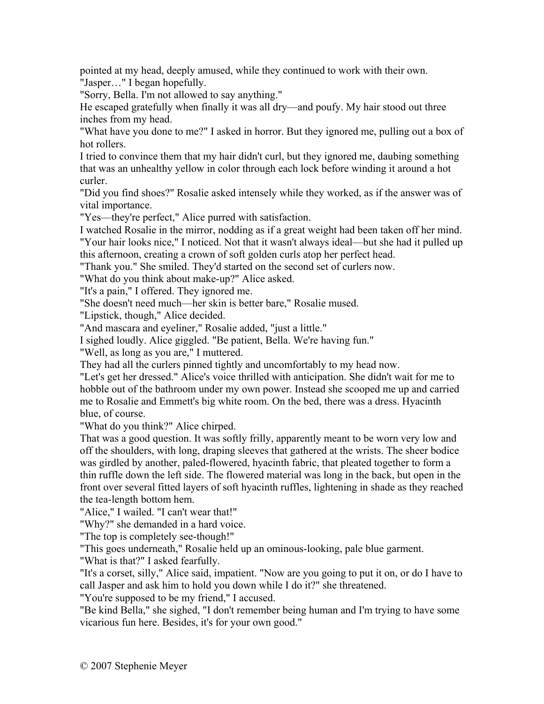pointed at my head, deeply amused, while they continued to work with their own. "Jasper…" I began hopefully.

"Sorry, Bella. I'm not allowed to say anything."

He escaped gratefully when finally it was all dry—and poufy. My hair stood out three inches from my head.

"What have you done to me?" I asked in horror. But they ignored me, pulling out a box of hot rollers.

I tried to convince them that my hair didn't curl, but they ignored me, daubing something that was an unhealthy yellow in color through each lock before winding it around a hot curler.

"Did you find shoes?" Rosalie asked intensely while they worked, as if the answer was of vital importance.

"Yes—they're perfect," Alice purred with satisfaction.

I watched Rosalie in the mirror, nodding as if a great weight had been taken off her mind. "Your hair looks nice," I noticed. Not that it wasn't always ideal—but she had it pulled up this afternoon, creating a crown of soft golden curls atop her perfect head.

"Thank you." She smiled. They'd started on the second set of curlers now.

"What do you think about make-up?" Alice asked.

"It's a pain," I offered. They ignored me.

"She doesn't need much—her skin is better bare," Rosalie mused.

"Lipstick, though," Alice decided.

"And mascara and eyeliner," Rosalie added, "just a little."

I sighed loudly. Alice giggled. "Be patient, Bella. We're having fun."

"Well, as long as you are," I muttered.

They had all the curlers pinned tightly and uncomfortably to my head now.

"Let's get her dressed." Alice's voice thrilled with anticipation. She didn't wait for me to hobble out of the bathroom under my own power. Instead she scooped me up and carried me to Rosalie and Emmett's big white room. On the bed, there was a dress. Hyacinth blue, of course.

"What do you think?" Alice chirped.

That was a good question. It was softly frilly, apparently meant to be worn very low and off the shoulders, with long, draping sleeves that gathered at the wrists. The sheer bodice was girdled by another, paled-flowered, hyacinth fabric, that pleated together to form a thin ruffle down the left side. The flowered material was long in the back, but open in the front over several fitted layers of soft hyacinth ruffles, lightening in shade as they reached the tea-length bottom hem.

"Alice," I wailed. "I can't wear that!"

"Why?" she demanded in a hard voice.

"The top is completely see-though!"

"This goes underneath," Rosalie held up an ominous-looking, pale blue garment.

"What is that?" I asked fearfully.

"It's a corset, silly," Alice said, impatient. "Now are you going to put it on, or do I have to call Jasper and ask him to hold you down while I do it?" she threatened.

"You're supposed to be my friend," I accused.

"Be kind Bella," she sighed, "I don't remember being human and I'm trying to have some vicarious fun here. Besides, it's for your own good."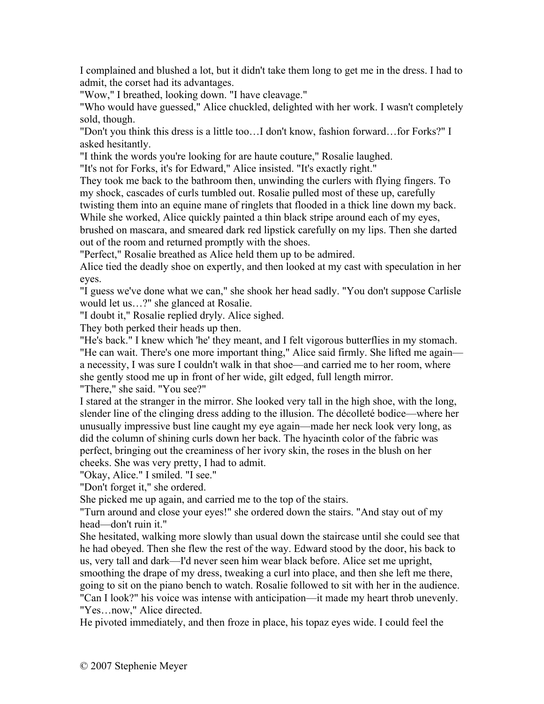I complained and blushed a lot, but it didn't take them long to get me in the dress. I had to admit, the corset had its advantages.

"Wow," I breathed, looking down. "I have cleavage."

"Who would have guessed," Alice chuckled, delighted with her work. I wasn't completely sold, though.

"Don't you think this dress is a little too…I don't know, fashion forward…for Forks?" I asked hesitantly.

"I think the words you're looking for are haute couture," Rosalie laughed.

"It's not for Forks, it's for Edward," Alice insisted. "It's exactly right."

They took me back to the bathroom then, unwinding the curlers with flying fingers. To my shock, cascades of curls tumbled out. Rosalie pulled most of these up, carefully twisting them into an equine mane of ringlets that flooded in a thick line down my back. While she worked, Alice quickly painted a thin black stripe around each of my eyes, brushed on mascara, and smeared dark red lipstick carefully on my lips. Then she darted

out of the room and returned promptly with the shoes.

"Perfect," Rosalie breathed as Alice held them up to be admired.

Alice tied the deadly shoe on expertly, and then looked at my cast with speculation in her eyes.

"I guess we've done what we can," she shook her head sadly. "You don't suppose Carlisle would let us…?" she glanced at Rosalie.

"I doubt it," Rosalie replied dryly. Alice sighed.

They both perked their heads up then.

"He's back." I knew which 'he' they meant, and I felt vigorous butterflies in my stomach. "He can wait. There's one more important thing," Alice said firmly. She lifted me again a necessity, I was sure I couldn't walk in that shoe—and carried me to her room, where

she gently stood me up in front of her wide, gilt edged, full length mirror.

"There," she said. "You see?"

I stared at the stranger in the mirror. She looked very tall in the high shoe, with the long, slender line of the clinging dress adding to the illusion. The décolleté bodice—where her unusually impressive bust line caught my eye again—made her neck look very long, as did the column of shining curls down her back. The hyacinth color of the fabric was perfect, bringing out the creaminess of her ivory skin, the roses in the blush on her cheeks. She was very pretty, I had to admit.

"Okay, Alice." I smiled. "I see."

"Don't forget it," she ordered.

She picked me up again, and carried me to the top of the stairs.

"Turn around and close your eyes!" she ordered down the stairs. "And stay out of my head—don't ruin it."

She hesitated, walking more slowly than usual down the staircase until she could see that he had obeyed. Then she flew the rest of the way. Edward stood by the door, his back to us, very tall and dark—I'd never seen him wear black before. Alice set me upright, smoothing the drape of my dress, tweaking a curl into place, and then she left me there, going to sit on the piano bench to watch. Rosalie followed to sit with her in the audience. "Can I look?" his voice was intense with anticipation—it made my heart throb unevenly. "Yes…now," Alice directed.

He pivoted immediately, and then froze in place, his topaz eyes wide. I could feel the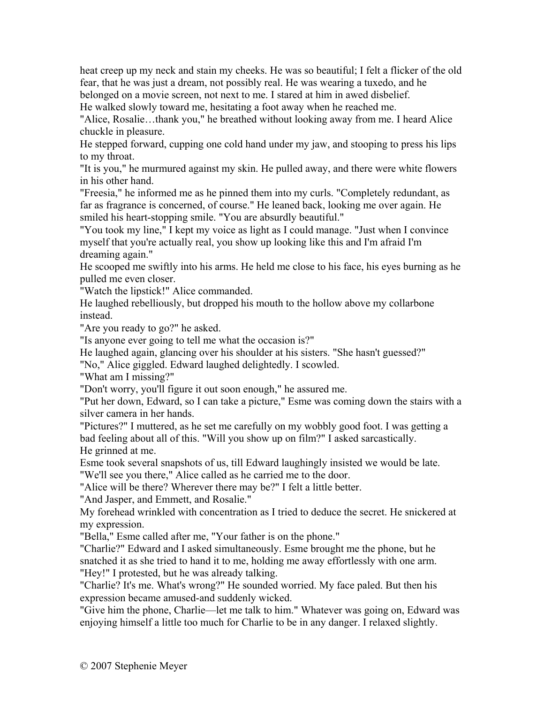heat creep up my neck and stain my cheeks. He was so beautiful; I felt a flicker of the old fear, that he was just a dream, not possibly real. He was wearing a tuxedo, and he belonged on a movie screen, not next to me. I stared at him in awed disbelief.

He walked slowly toward me, hesitating a foot away when he reached me.

"Alice, Rosalie…thank you," he breathed without looking away from me. I heard Alice chuckle in pleasure.

He stepped forward, cupping one cold hand under my jaw, and stooping to press his lips to my throat.

"It is you," he murmured against my skin. He pulled away, and there were white flowers in his other hand.

"Freesia," he informed me as he pinned them into my curls. "Completely redundant, as far as fragrance is concerned, of course." He leaned back, looking me over again. He smiled his heart-stopping smile. "You are absurdly beautiful."

"You took my line," I kept my voice as light as I could manage. "Just when I convince myself that you're actually real, you show up looking like this and I'm afraid I'm dreaming again."

He scooped me swiftly into his arms. He held me close to his face, his eyes burning as he pulled me even closer.

"Watch the lipstick!" Alice commanded.

He laughed rebelliously, but dropped his mouth to the hollow above my collarbone instead.

"Are you ready to go?" he asked.

"Is anyone ever going to tell me what the occasion is?"

He laughed again, glancing over his shoulder at his sisters. "She hasn't guessed?"

"No," Alice giggled. Edward laughed delightedly. I scowled.

"What am I missing?"

"Don't worry, you'll figure it out soon enough," he assured me.

"Put her down, Edward, so I can take a picture," Esme was coming down the stairs with a silver camera in her hands.

"Pictures?" I muttered, as he set me carefully on my wobbly good foot. I was getting a bad feeling about all of this. "Will you show up on film?" I asked sarcastically. He grinned at me.

Esme took several snapshots of us, till Edward laughingly insisted we would be late. "We'll see you there," Alice called as he carried me to the door.

"Alice will be there? Wherever there may be?" I felt a little better.

"And Jasper, and Emmett, and Rosalie."

My forehead wrinkled with concentration as I tried to deduce the secret. He snickered at my expression.

"Bella," Esme called after me, "Your father is on the phone."

"Charlie?" Edward and I asked simultaneously. Esme brought me the phone, but he snatched it as she tried to hand it to me, holding me away effortlessly with one arm. "Hey!" I protested, but he was already talking.

"Charlie? It's me. What's wrong?" He sounded worried. My face paled. But then his expression became amused-and suddenly wicked.

"Give him the phone, Charlie—let me talk to him." Whatever was going on, Edward was enjoying himself a little too much for Charlie to be in any danger. I relaxed slightly.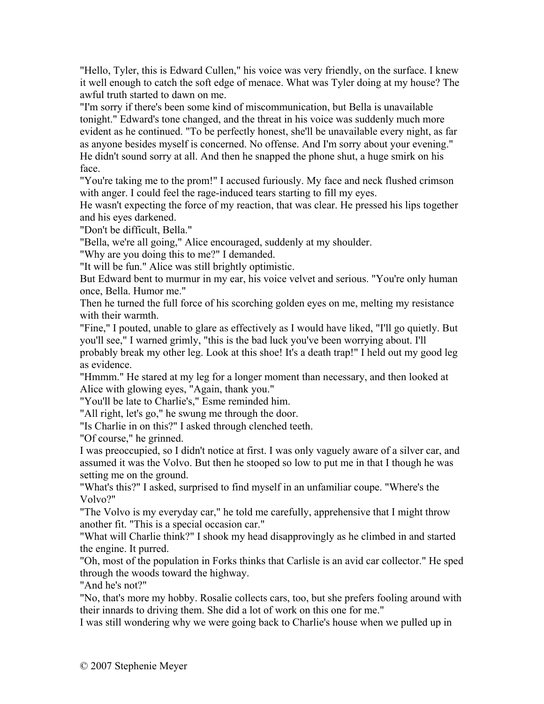"Hello, Tyler, this is Edward Cullen," his voice was very friendly, on the surface. I knew it well enough to catch the soft edge of menace. What was Tyler doing at my house? The awful truth started to dawn on me.

"I'm sorry if there's been some kind of miscommunication, but Bella is unavailable tonight." Edward's tone changed, and the threat in his voice was suddenly much more evident as he continued. "To be perfectly honest, she'll be unavailable every night, as far as anyone besides myself is concerned. No offense. And I'm sorry about your evening." He didn't sound sorry at all. And then he snapped the phone shut, a huge smirk on his face.

"You're taking me to the prom!" I accused furiously. My face and neck flushed crimson with anger. I could feel the rage-induced tears starting to fill my eyes.

He wasn't expecting the force of my reaction, that was clear. He pressed his lips together and his eyes darkened.

"Don't be difficult, Bella."

"Bella, we're all going," Alice encouraged, suddenly at my shoulder.

"Why are you doing this to me?" I demanded.

"It will be fun." Alice was still brightly optimistic.

But Edward bent to murmur in my ear, his voice velvet and serious. "You're only human once, Bella. Humor me."

Then he turned the full force of his scorching golden eyes on me, melting my resistance with their warmth.

"Fine," I pouted, unable to glare as effectively as I would have liked, "I'll go quietly. But you'll see," I warned grimly, "this is the bad luck you've been worrying about. I'll probably break my other leg. Look at this shoe! It's a death trap!" I held out my good leg as evidence.

"Hmmm." He stared at my leg for a longer moment than necessary, and then looked at Alice with glowing eyes, "Again, thank you."

"You'll be late to Charlie's," Esme reminded him.

"All right, let's go," he swung me through the door.

"Is Charlie in on this?" I asked through clenched teeth.

"Of course," he grinned.

I was preoccupied, so I didn't notice at first. I was only vaguely aware of a silver car, and assumed it was the Volvo. But then he stooped so low to put me in that I though he was setting me on the ground.

"What's this?" I asked, surprised to find myself in an unfamiliar coupe. "Where's the Volvo?"

"The Volvo is my everyday car," he told me carefully, apprehensive that I might throw another fit. "This is a special occasion car."

"What will Charlie think?" I shook my head disapprovingly as he climbed in and started the engine. It purred.

"Oh, most of the population in Forks thinks that Carlisle is an avid car collector." He sped through the woods toward the highway.

"And he's not?"

"No, that's more my hobby. Rosalie collects cars, too, but she prefers fooling around with their innards to driving them. She did a lot of work on this one for me."

I was still wondering why we were going back to Charlie's house when we pulled up in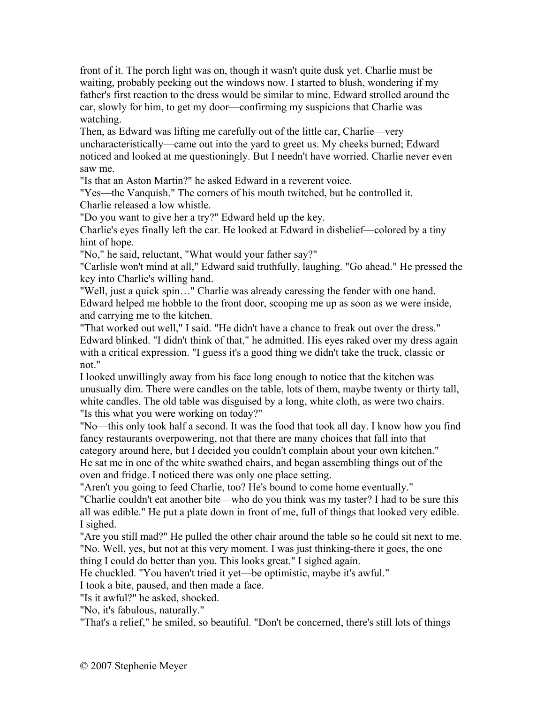front of it. The porch light was on, though it wasn't quite dusk yet. Charlie must be waiting, probably peeking out the windows now. I started to blush, wondering if my father's first reaction to the dress would be similar to mine. Edward strolled around the car, slowly for him, to get my door—confirming my suspicions that Charlie was watching.

Then, as Edward was lifting me carefully out of the little car, Charlie—very uncharacteristically—came out into the yard to greet us. My cheeks burned; Edward noticed and looked at me questioningly. But I needn't have worried. Charlie never even saw me.

"Is that an Aston Martin?" he asked Edward in a reverent voice.

"Yes—the Vanquish." The corners of his mouth twitched, but he controlled it. Charlie released a low whistle.

"Do you want to give her a try?" Edward held up the key.

Charlie's eyes finally left the car. He looked at Edward in disbelief—colored by a tiny hint of hope.

"No," he said, reluctant, "What would your father say?"

"Carlisle won't mind at all," Edward said truthfully, laughing. "Go ahead." He pressed the key into Charlie's willing hand.

"Well, just a quick spin…" Charlie was already caressing the fender with one hand. Edward helped me hobble to the front door, scooping me up as soon as we were inside, and carrying me to the kitchen.

"That worked out well," I said. "He didn't have a chance to freak out over the dress." Edward blinked. "I didn't think of that," he admitted. His eyes raked over my dress again with a critical expression. "I guess it's a good thing we didn't take the truck, classic or not."

I looked unwillingly away from his face long enough to notice that the kitchen was unusually dim. There were candles on the table, lots of them, maybe twenty or thirty tall, white candles. The old table was disguised by a long, white cloth, as were two chairs. "Is this what you were working on today?"

"No—this only took half a second. It was the food that took all day. I know how you find fancy restaurants overpowering, not that there are many choices that fall into that category around here, but I decided you couldn't complain about your own kitchen." He sat me in one of the white swathed chairs, and began assembling things out of the oven and fridge. I noticed there was only one place setting.

"Aren't you going to feed Charlie, too? He's bound to come home eventually."

"Charlie couldn't eat another bite—who do you think was my taster? I had to be sure this all was edible." He put a plate down in front of me, full of things that looked very edible. I sighed.

"Are you still mad?" He pulled the other chair around the table so he could sit next to me. "No. Well, yes, but not at this very moment. I was just thinking-there it goes, the one thing I could do better than you. This looks great." I sighed again.

He chuckled. "You haven't tried it yet—be optimistic, maybe it's awful."

I took a bite, paused, and then made a face.

"Is it awful?" he asked, shocked.

"No, it's fabulous, naturally."

"That's a relief," he smiled, so beautiful. "Don't be concerned, there's still lots of things